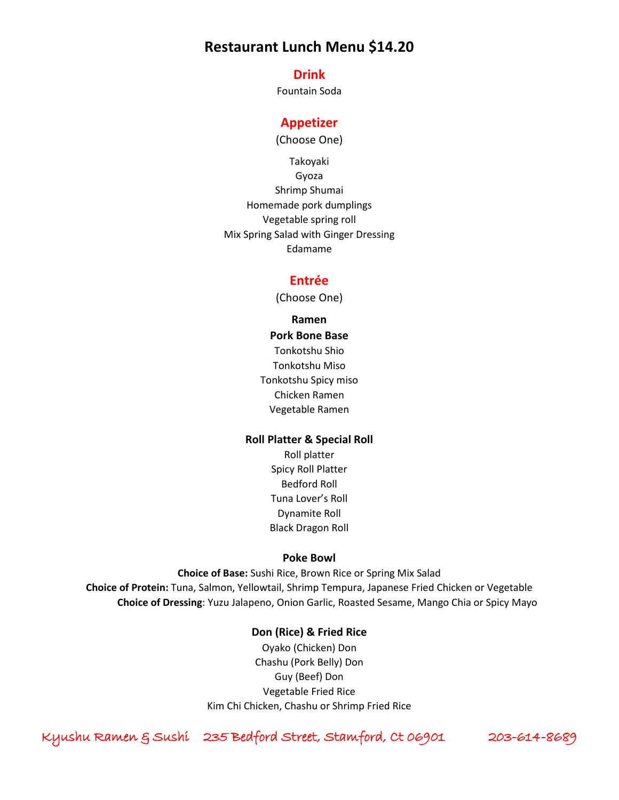# **Restaurant Lunch Menu \$14.20**

### **Drink**

Fountain Soda

## **Appetizer**

(Choose One)

Takoyaki Gyoza Shrimp Shumai Homemade pork dumplings Vegetable spring roll Mix Spring Salad with Ginger Dressing Edamame

## **Entrée**

(Choose One)

**Ramen Pork Bone Base** Tonkotshu Shio Tonkotshu Miso Tonkotshu Spicy miso Chicken Ramen Vegetable Ramen

#### **Roll Platter & Special Roll**

Roll platter Spicy Roll Platter Bedford Roll Tuna Lover's Roll Dynamite Roll Black Dragon Roll

#### **Poke Bowl**

**Choice of Base:** Sushi Rice, Brown Rice or Spring Mix Salad **Choice of Protein:** Tuna, Salmon, Yellowtail, Shrimp Tempura, Japanese Fried Chicken or Vegetable **Choice of Dressing**: Yuzu Jalapeno, Onion Garlic, Roasted Sesame, Mango Chia or Spicy Mayo

#### **Don (Rice) & Fried Rice**

Oyako (Chicken) Don Chashu (Pork Belly) Don Guy (Beef) Don Vegetable Fried Rice Kim Chi Chicken, Chashu or Shrimp Fried Rice

Kyushu Ramen & Sushi 235 Bedford Street, Stamford, Ct 06901 203-614-8689